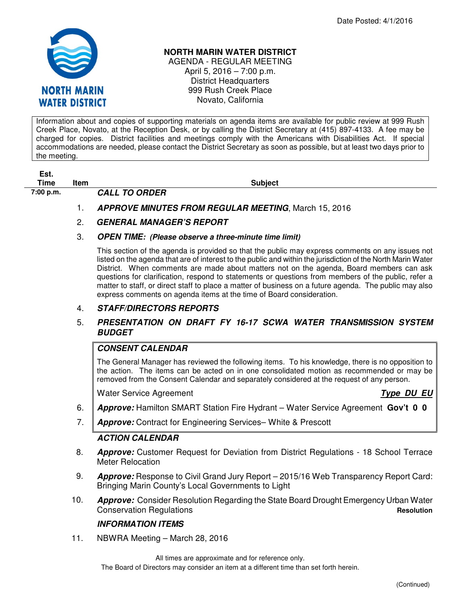

### **NORTH MARIN WATER DISTRICT**

AGENDA - REGULAR MEETING April 5, 2016 – 7:00 p.m. District Headquarters 999 Rush Creek Place Novato, California

Information about and copies of supporting materials on agenda items are available for public review at 999 Rush Creek Place, Novato, at the Reception Desk, or by calling the District Secretary at (415) 897-4133. A fee may be charged for copies. District facilities and meetings comply with the Americans with Disabilities Act. If special accommodations are needed, please contact the District Secretary as soon as possible, but at least two days prior to the meeting.

| Est. |  |
|------|--|
| Time |  |

**7:00 p.m. CALL TO ORDER** 

**The Item Subject Time Item Subject** 

1. **APPROVE MINUTES FROM REGULAR MEETING**, March 15, 2016

# 2. **GENERAL MANAGER'S REPORT**

#### 3. **OPEN TIME: (Please observe a three-minute time limit)**

This section of the agenda is provided so that the public may express comments on any issues not listed on the agenda that are of interest to the public and within the jurisdiction of the North Marin Water District. When comments are made about matters not on the agenda, Board members can ask questions for clarification, respond to statements or questions from members of the public, refer a matter to staff, or direct staff to place a matter of business on a future agenda. The public may also express comments on agenda items at the time of Board consideration.

#### 4. **STAFF/DIRECTORS REPORTS**

#### 5. **PRESENTATION ON DRAFT FY 16-17 SCWA WATER TRANSMISSION SYSTEM BUDGET**

## **CONSENT CALENDAR**

The General Manager has reviewed the following items. To his knowledge, there is no opposition to the action. The items can be acted on in one consolidated motion as recommended or may be removed from the Consent Calendar and separately considered at the request of any person.

Water Service Agreement **Type DU EU** 

- 6. **Approve:** Hamilton SMART Station Fire Hydrant Water Service Agreement **Gov't 0 0**
- 7. **Approve:** Contract for Engineering Services– White & Prescott

#### **ACTION CALENDAR**

- 8. **Approve:** Customer Request for Deviation from District Regulations 18 School Terrace Meter Relocation
- 9. **Approve:** Response to Civil Grand Jury Report 2015/16 Web Transparency Report Card: Bringing Marin County's Local Governments to Light
- 10. **Approve:** Consider Resolution Regarding the State Board Drought Emergency Urban Water **Conservation Regulations Resolutions Resolution**

#### **INFORMATION ITEMS**

11. NBWRA Meeting – March 28, 2016

All times are approximate and for reference only.

The Board of Directors may consider an item at a different time than set forth herein.